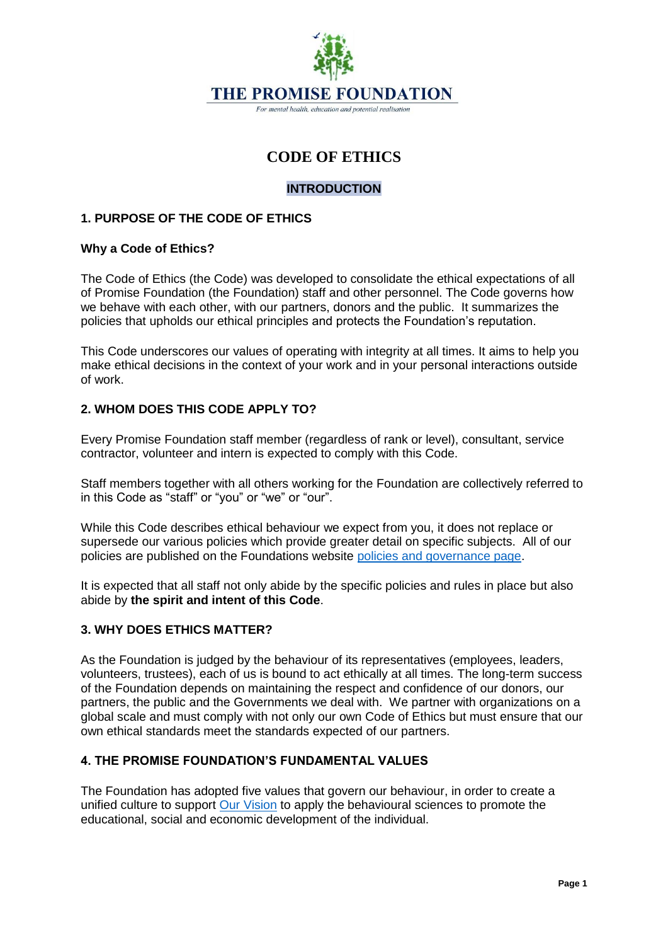

# **CODE OF ETHICS**

## **INTRODUCTION**

## **1. PURPOSE OF THE CODE OF ETHICS**

#### **Why a Code of Ethics?**

The Code of Ethics (the Code) was developed to consolidate the ethical expectations of all of Promise Foundation (the Foundation) staff and other personnel. The Code governs how we behave with each other, with our partners, donors and the public. It summarizes the policies that upholds our ethical principles and protects the Foundation's reputation.

This Code underscores our values of operating with integrity at all times. It aims to help you make ethical decisions in the context of your work and in your personal interactions outside of work.

## **2. WHOM DOES THIS CODE APPLY TO?**

Every Promise Foundation staff member (regardless of rank or level), consultant, service contractor, volunteer and intern is expected to comply with this Code.

Staff members together with all others working for the Foundation are collectively referred to in this Code as "staff" or "you" or "we" or "our".

While this Code describes ethical behaviour we expect from you, it does not replace or supersede our various policies which provide greater detail on specific subjects. All of our policies are published on the Foundations website [policies and governance page.](http://thepromisefoundation.org/policies-and-governance)

It is expected that all staff not only abide by the specific policies and rules in place but also abide by **the spirit and intent of this Code**.

## **3. WHY DOES ETHICS MATTER?**

As the Foundation is judged by the behaviour of its representatives (employees, leaders, volunteers, trustees), each of us is bound to act ethically at all times. The long-term success of the Foundation depends on maintaining the respect and confidence of our donors, our partners, the public and the Governments we deal with. We partner with organizations on a global scale and must comply with not only our own Code of Ethics but must ensure that our own ethical standards meet the standards expected of our partners.

## **4. THE PROMISE FOUNDATION'S FUNDAMENTAL VALUES**

The Foundation has adopted five values that govern our behaviour, in order to create a unified culture to support [Our Vision](http://thepromisefoundation.org/) to apply the behavioural sciences to promote the educational, social and economic development of the individual.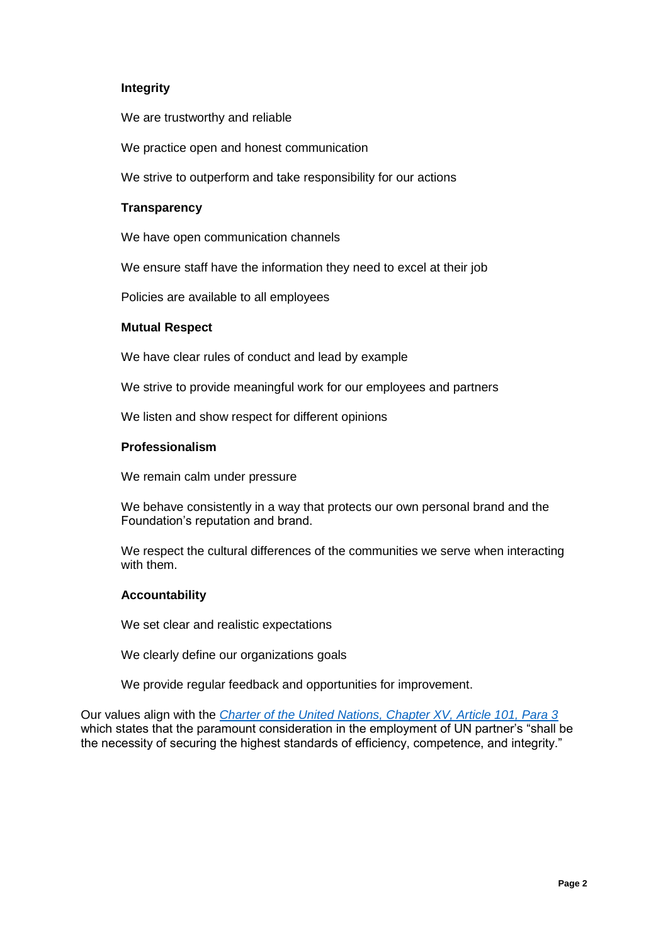## **Integrity**

We are trustworthy and reliable

We practice open and honest communication

We strive to outperform and take responsibility for our actions

#### **Transparency**

We have open communication channels

We ensure staff have the information they need to excel at their job

Policies are available to all employees

#### **Mutual Respect**

We have clear rules of conduct and lead by example

We strive to provide meaningful work for our employees and partners

We listen and show respect for different opinions

#### **Professionalism**

We remain calm under pressure

We behave consistently in a way that protects our own personal brand and the Foundation's reputation and brand.

We respect the cultural differences of the communities we serve when interacting with them.

#### **Accountability**

We set clear and realistic expectations

We clearly define our organizations goals

We provide regular feedback and opportunities for improvement.

Our values align with the *[Charter of the United Nations, Chapter XV, Article 101, Para 3](https://legal.un.org/repertory/art101.shtml)* which states that the paramount consideration in the employment of UN partner's "shall be the necessity of securing the highest standards of efficiency, competence, and integrity."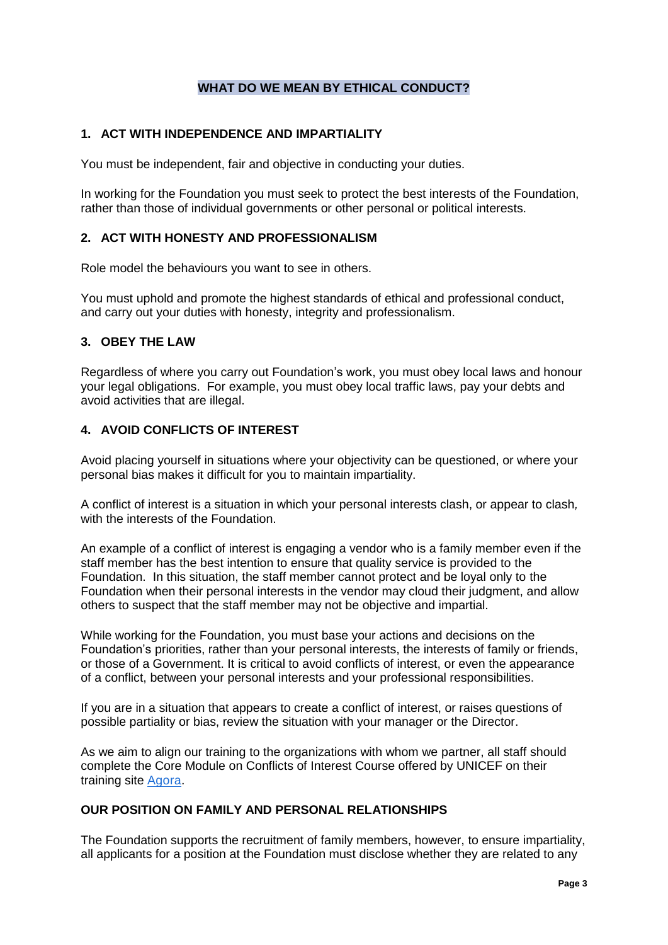## **WHAT DO WE MEAN BY ETHICAL CONDUCT?**

## **1. ACT WITH INDEPENDENCE AND IMPARTIALITY**

You must be independent, fair and objective in conducting your duties.

In working for the Foundation you must seek to protect the best interests of the Foundation, rather than those of individual governments or other personal or political interests.

## **2. ACT WITH HONESTY AND PROFESSIONALISM**

Role model the behaviours you want to see in others.

You must uphold and promote the highest standards of ethical and professional conduct, and carry out your duties with honesty, integrity and professionalism.

# **3. OBEY THE LAW**

Regardless of where you carry out Foundation's work, you must obey local laws and honour your legal obligations. For example, you must obey local traffic laws, pay your debts and avoid activities that are illegal.

# **4. AVOID CONFLICTS OF INTEREST**

Avoid placing yourself in situations where your objectivity can be questioned, or where your personal bias makes it difficult for you to maintain impartiality.

A conflict of interest is a situation in which your personal interests clash, or appear to clash*,*  with the interests of the Foundation.

An example of a conflict of interest is engaging a vendor who is a family member even if the staff member has the best intention to ensure that quality service is provided to the Foundation. In this situation, the staff member cannot protect and be loyal only to the Foundation when their personal interests in the vendor may cloud their judgment, and allow others to suspect that the staff member may not be objective and impartial.

While working for the Foundation, you must base your actions and decisions on the Foundation's priorities, rather than your personal interests, the interests of family or friends, or those of a Government. It is critical to avoid conflicts of interest, or even the appearance of a conflict, between your personal interests and your professional responsibilities.

If you are in a situation that appears to create a conflict of interest, or raises questions of possible partiality or bias, review the situation with your manager or the Director.

As we aim to align our training to the organizations with whom we partner, all staff should complete the Core Module on Conflicts of Interest Course offered by UNICEF on their training site [Agora.](https://agora.unicef.org/login/signup.php)

## **OUR POSITION ON FAMILY AND PERSONAL RELATIONSHIPS**

The Foundation supports the recruitment of family members, however, to ensure impartiality, all applicants for a position at the Foundation must disclose whether they are related to any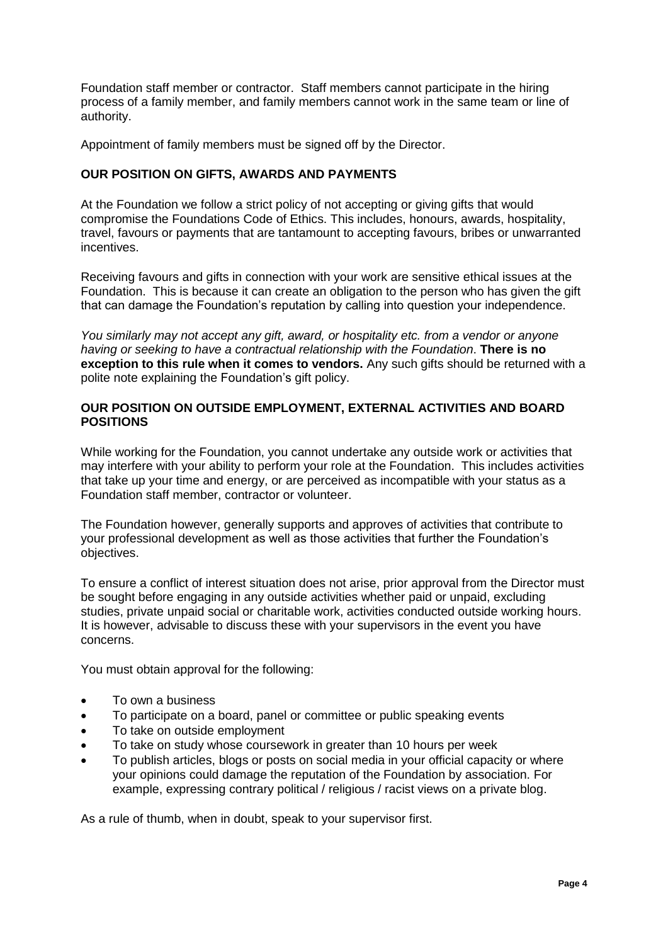Foundation staff member or contractor. Staff members cannot participate in the hiring process of a family member, and family members cannot work in the same team or line of authority.

Appointment of family members must be signed off by the Director.

## **OUR POSITION ON GIFTS, AWARDS AND PAYMENTS**

At the Foundation we follow a strict policy of not accepting or giving gifts that would compromise the Foundations Code of Ethics. This includes, honours, awards, hospitality, travel, favours or payments that are tantamount to accepting favours, bribes or unwarranted incentives.

Receiving favours and gifts in connection with your work are sensitive ethical issues at the Foundation. This is because it can create an obligation to the person who has given the gift that can damage the Foundation's reputation by calling into question your independence.

*You similarly may not accept any gift, award, or hospitality etc. from a vendor or anyone having or seeking to have a contractual relationship with the Foundation*. **There is no exception to this rule when it comes to vendors.** Any such gifts should be returned with a polite note explaining the Foundation's gift policy.

#### **OUR POSITION ON OUTSIDE EMPLOYMENT, EXTERNAL ACTIVITIES AND BOARD POSITIONS**

While working for the Foundation, you cannot undertake any outside work or activities that may interfere with your ability to perform your role at the Foundation. This includes activities that take up your time and energy, or are perceived as incompatible with your status as a Foundation staff member, contractor or volunteer.

The Foundation however, generally supports and approves of activities that contribute to your professional development as well as those activities that further the Foundation's objectives.

To ensure a conflict of interest situation does not arise, prior approval from the Director must be sought before engaging in any outside activities whether paid or unpaid, excluding studies, private unpaid social or charitable work, activities conducted outside working hours. It is however, advisable to discuss these with your supervisors in the event you have concerns.

You must obtain approval for the following:

- To own a business
- To participate on a board, panel or committee or public speaking events
- To take on outside employment
- To take on study whose coursework in greater than 10 hours per week
- To publish articles, blogs or posts on social media in your official capacity or where your opinions could damage the reputation of the Foundation by association. For example, expressing contrary political / religious / racist views on a private blog.

As a rule of thumb, when in doubt, speak to your supervisor first.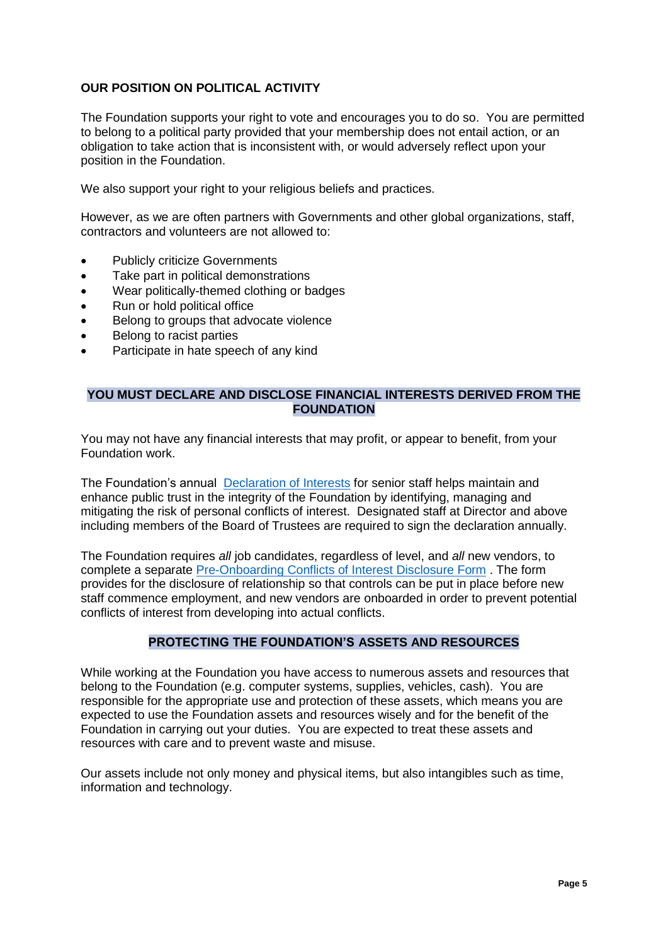# **OUR POSITION ON POLITICAL ACTIVITY**

The Foundation supports your right to vote and encourages you to do so. You are permitted to belong to a political party provided that your membership does not entail action, or an obligation to take action that is inconsistent with, or would adversely reflect upon your position in the Foundation.

We also support your right to your religious beliefs and practices.

However, as we are often partners with Governments and other global organizations, staff, contractors and volunteers are not allowed to:

- Publicly criticize Governments
- Take part in political demonstrations
- Wear politically-themed clothing or badges
- Run or hold political office
- Belong to groups that advocate violence
- Belong to racist parties
- Participate in hate speech of any kind

#### **YOU MUST DECLARE AND DISCLOSE FINANCIAL INTERESTS DERIVED FROM THE FOUNDATION**

You may not have any financial interests that may profit, or appear to benefit, from your Foundation work.

The Foundation's annual [Declaration of Interests](http://thepromisefoundation.org/files/documents/3999b5bb-0deb-4711-982b-aa8bae9ee76b.pdf) for senior staff helps maintain and enhance public trust in the integrity of the Foundation by identifying, managing and mitigating the risk of personal conflicts of interest. Designated staff at Director and above including members of the Board of Trustees are required to sign the declaration annually.

The Foundation requires *all* job candidates, regardless of level, and *all* new vendors, to complete a separate [Pre-Onboarding Conflicts of Interest Disclosure Form](http://thepromisefoundation.org/files/documents/65b145f7-7d11-4cd0-8cde-b97792bca95f.pdf) . The form provides for the disclosure of relationship so that controls can be put in place before new staff commence employment, and new vendors are onboarded in order to prevent potential conflicts of interest from developing into actual conflicts.

## **PROTECTING THE FOUNDATION'S ASSETS AND RESOURCES**

While working at the Foundation you have access to numerous assets and resources that belong to the Foundation (e.g. computer systems, supplies, vehicles, cash). You are responsible for the appropriate use and protection of these assets, which means you are expected to use the Foundation assets and resources wisely and for the benefit of the Foundation in carrying out your duties. You are expected to treat these assets and resources with care and to prevent waste and misuse.

Our assets include not only money and physical items, but also intangibles such as time, information and technology.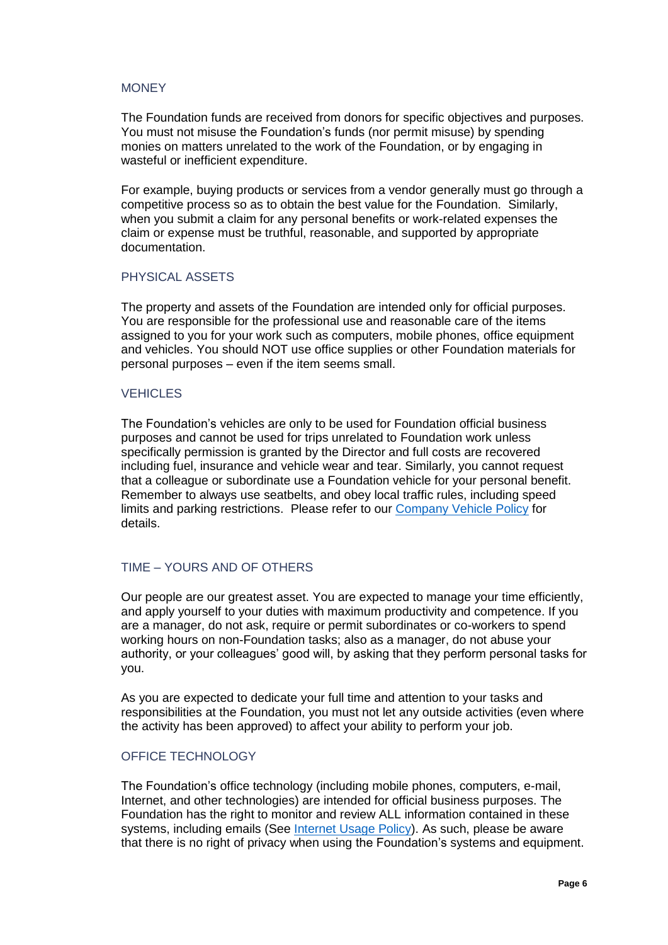#### **MONEY**

The Foundation funds are received from donors for specific objectives and purposes. You must not misuse the Foundation's funds (nor permit misuse) by spending monies on matters unrelated to the work of the Foundation, or by engaging in wasteful or inefficient expenditure.

For example, buying products or services from a vendor generally must go through a competitive process so as to obtain the best value for the Foundation. Similarly, when you submit a claim for any personal benefits or work-related expenses the claim or expense must be truthful, reasonable, and supported by appropriate documentation.

#### PHYSICAL ASSETS

The property and assets of the Foundation are intended only for official purposes. You are responsible for the professional use and reasonable care of the items assigned to you for your work such as computers, mobile phones, office equipment and vehicles. You should NOT use office supplies or other Foundation materials for personal purposes – even if the item seems small.

#### **VEHICLES**

The Foundation's vehicles are only to be used for Foundation official business purposes and cannot be used for trips unrelated to Foundation work unless specifically permission is granted by the Director and full costs are recovered including fuel, insurance and vehicle wear and tear. Similarly, you cannot request that a colleague or subordinate use a Foundation vehicle for your personal benefit. Remember to always use seatbelts, and obey local traffic rules, including speed limits and parking restrictions. Please refer to our [Company Vehicle Policy](http://thepromisefoundation.org/files/documents/7dee5dba-683d-43d2-89bc-6b22a311a73e.pdf) for details.

## TIME – YOURS AND OF OTHERS

Our people are our greatest asset. You are expected to manage your time efficiently, and apply yourself to your duties with maximum productivity and competence. If you are a manager, do not ask, require or permit subordinates or co-workers to spend working hours on non-Foundation tasks; also as a manager, do not abuse your authority, or your colleagues' good will, by asking that they perform personal tasks for you.

As you are expected to dedicate your full time and attention to your tasks and responsibilities at the Foundation, you must not let any outside activities (even where the activity has been approved) to affect your ability to perform your job.

#### OFFICE TECHNOLOGY

The Foundation's office technology (including mobile phones, computers, e-mail, Internet, and other technologies) are intended for official business purposes. The Foundation has the right to monitor and review ALL information contained in these systems, including emails (See [Internet Usage Policy\)](http://thepromisefoundation.org/files/documents/6725d8f8-00ec-4e8b-84f7-597814850333.pdf). As such, please be aware that there is no right of privacy when using the Foundation's systems and equipment.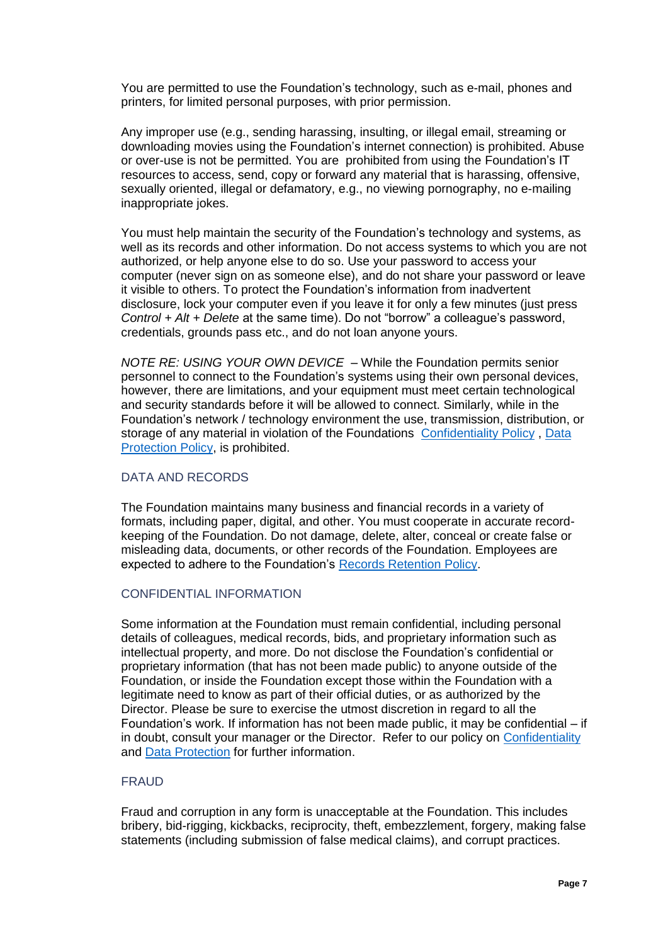You are permitted to use the Foundation's technology, such as e-mail, phones and printers, for limited personal purposes, with prior permission.

Any improper use (e.g., sending harassing, insulting, or illegal email, streaming or downloading movies using the Foundation's internet connection) is prohibited. Abuse or over-use is not be permitted. You are prohibited from using the Foundation's IT resources to access, send, copy or forward any material that is harassing, offensive, sexually oriented, illegal or defamatory, e.g., no viewing pornography, no e-mailing inappropriate jokes.

You must help maintain the security of the Foundation's technology and systems, as well as its records and other information. Do not access systems to which you are not authorized, or help anyone else to do so. Use your password to access your computer (never sign on as someone else), and do not share your password or leave it visible to others. To protect the Foundation's information from inadvertent disclosure, lock your computer even if you leave it for only a few minutes (just press *Control + Alt + Delete* at the same time). Do not "borrow" a colleague's password, credentials, grounds pass etc., and do not loan anyone yours.

*NOTE RE: USING YOUR OWN DEVICE* – While the Foundation permits senior personnel to connect to the Foundation's systems using their own personal devices, however, there are limitations, and your equipment must meet certain technological and security standards before it will be allowed to connect. Similarly, while in the Foundation's network / technology environment the use, transmission, distribution, or storage of any material in violation of the Foundations [Confidentiality Policy](http://thepromisefoundation.org/files/documents/fb4ad1b3-8567-40c3-a4a5-e6f0612db268.pdf) , [Data](http://thepromisefoundation.org/files/documents/4ab63a17-f8a5-4c3e-805d-f5c211fa7dde.pdf)  [Protection Policy,](http://thepromisefoundation.org/files/documents/4ab63a17-f8a5-4c3e-805d-f5c211fa7dde.pdf) is prohibited.

#### DATA AND RECORDS

The Foundation maintains many business and financial records in a variety of formats, including paper, digital, and other. You must cooperate in accurate recordkeeping of the Foundation. Do not damage, delete, alter, conceal or create false or misleading data, documents, or other records of the Foundation. Employees are expected to adhere to the Foundation's [Records Retention Policy.](http://thepromisefoundation.org/files/documents/dd8fddde-0538-4ed7-984d-0e1e07a1651e.pdf)

#### CONFIDENTIAL INFORMATION

Some information at the Foundation must remain confidential, including personal details of colleagues, medical records, bids, and proprietary information such as intellectual property, and more. Do not disclose the Foundation's confidential or proprietary information (that has not been made public) to anyone outside of the Foundation, or inside the Foundation except those within the Foundation with a legitimate need to know as part of their official duties, or as authorized by the Director. Please be sure to exercise the utmost discretion in regard to all the Foundation's work. If information has not been made public, it may be confidential – if in doubt, consult your manager or the Director. Refer to our policy on [Confidentiality](http://thepromisefoundation.org/files/documents/fb4ad1b3-8567-40c3-a4a5-e6f0612db268.pdf) and [Data Protection](http://thepromisefoundation.org/files/documents/4ab63a17-f8a5-4c3e-805d-f5c211fa7dde.pdf) for further information.

## **FRAUD**

Fraud and corruption in any form is unacceptable at the Foundation. This includes bribery, bid-rigging, kickbacks, reciprocity, theft, embezzlement, forgery, making false statements (including submission of false medical claims), and corrupt practices.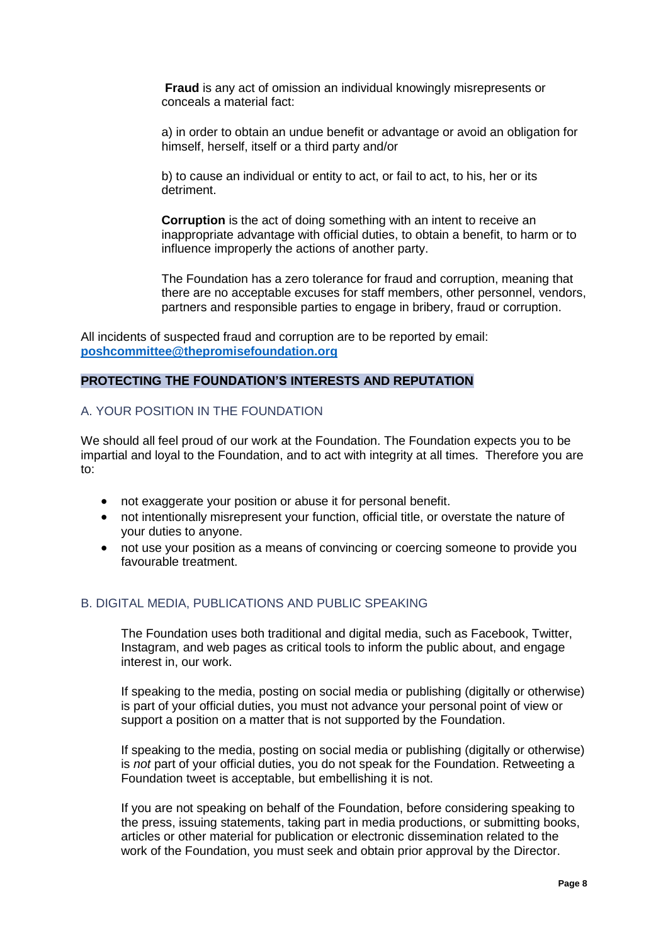**Fraud** is any act of omission an individual knowingly misrepresents or conceals a material fact:

a) in order to obtain an undue benefit or advantage or avoid an obligation for himself, herself, itself or a third party and/or

b) to cause an individual or entity to act, or fail to act, to his, her or its detriment.

**Corruption** is the act of doing something with an intent to receive an inappropriate advantage with official duties, to obtain a benefit, to harm or to influence improperly the actions of another party.

The Foundation has a zero tolerance for fraud and corruption, meaning that there are no acceptable excuses for staff members, other personnel, vendors, partners and responsible parties to engage in bribery, fraud or corruption.

All incidents of suspected fraud and corruption are to be reported by email: **[poshcommittee@thepromisefoundation.org](mailto:poshcommittee@thepromisefoundation.org)**

#### **PROTECTING THE FOUNDATION'S INTERESTS AND REPUTATION**

#### A. YOUR POSITION IN THE FOUNDATION

We should all feel proud of our work at the Foundation. The Foundation expects you to be impartial and loyal to the Foundation, and to act with integrity at all times. Therefore you are to:

- not exaggerate your position or abuse it for personal benefit.
- not intentionally misrepresent your function, official title, or overstate the nature of your duties to anyone.
- not use your position as a means of convincing or coercing someone to provide you favourable treatment.

#### B. DIGITAL MEDIA, PUBLICATIONS AND PUBLIC SPEAKING

The Foundation uses both traditional and digital media, such as Facebook, Twitter, Instagram, and web pages as critical tools to inform the public about, and engage interest in, our work.

If speaking to the media, posting on social media or publishing (digitally or otherwise) is part of your official duties, you must not advance your personal point of view or support a position on a matter that is not supported by the Foundation.

If speaking to the media, posting on social media or publishing (digitally or otherwise) is *not* part of your official duties, you do not speak for the Foundation. Retweeting a Foundation tweet is acceptable, but embellishing it is not.

If you are not speaking on behalf of the Foundation, before considering speaking to the press, issuing statements, taking part in media productions, or submitting books, articles or other material for publication or electronic dissemination related to the work of the Foundation, you must seek and obtain prior approval by the Director.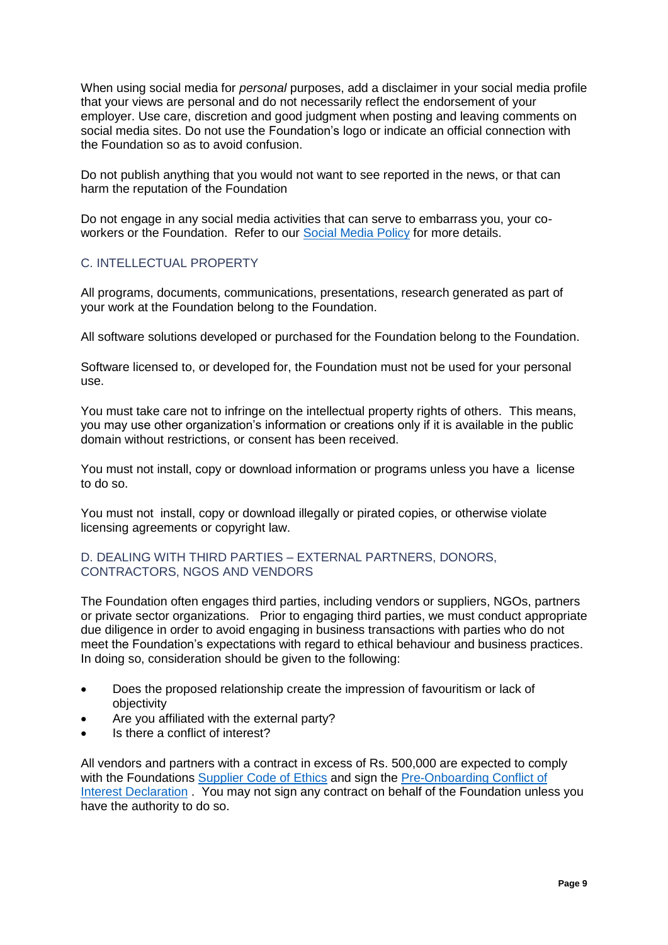When using social media for *personal* purposes, add a disclaimer in your social media profile that your views are personal and do not necessarily reflect the endorsement of your employer. Use care, discretion and good judgment when posting and leaving comments on social media sites. Do not use the Foundation's logo or indicate an official connection with the Foundation so as to avoid confusion.

Do not publish anything that you would not want to see reported in the news, or that can harm the reputation of the Foundation

Do not engage in any social media activities that can serve to embarrass you, your coworkers or the Foundation. Refer to our [Social Media Policy](http://thepromisefoundation.org/files/documents/e578ff9b-ec1e-488f-ae59-77daea63463c.pdf) for more details.

# C. INTELLECTUAL PROPERTY

All programs, documents, communications, presentations, research generated as part of your work at the Foundation belong to the Foundation.

All software solutions developed or purchased for the Foundation belong to the Foundation.

Software licensed to, or developed for, the Foundation must not be used for your personal use.

You must take care not to infringe on the intellectual property rights of others. This means, you may use other organization's information or creations only if it is available in the public domain without restrictions, or consent has been received.

You must not install, copy or download information or programs unless you have a license to do so.

You must not install, copy or download illegally or pirated copies, or otherwise violate licensing agreements or copyright law.

#### D. DEALING WITH THIRD PARTIES – EXTERNAL PARTNERS, DONORS, CONTRACTORS, NGOS AND VENDORS

The Foundation often engages third parties, including vendors or suppliers, NGOs, partners or private sector organizations. Prior to engaging third parties, we must conduct appropriate due diligence in order to avoid engaging in business transactions with parties who do not meet the Foundation's expectations with regard to ethical behaviour and business practices. In doing so, consideration should be given to the following:

- Does the proposed relationship create the impression of favouritism or lack of objectivity
- Are you affiliated with the external party?
- Is there a conflict of interest?

All vendors and partners with a contract in excess of Rs. 500,000 are expected to comply with the Foundations [Supplier Code of Ethics](http://thepromisefoundation.org/files/documents/324d3218-2307-4760-b275-2792b3de4e6e.pdf) and sign the Pre-Onboarding Conflict of [Interest Declaration](http://thepromisefoundation.org/files/documents/65b145f7-7d11-4cd0-8cde-b97792bca95f.pdf) . You may not sign any contract on behalf of the Foundation unless you have the authority to do so.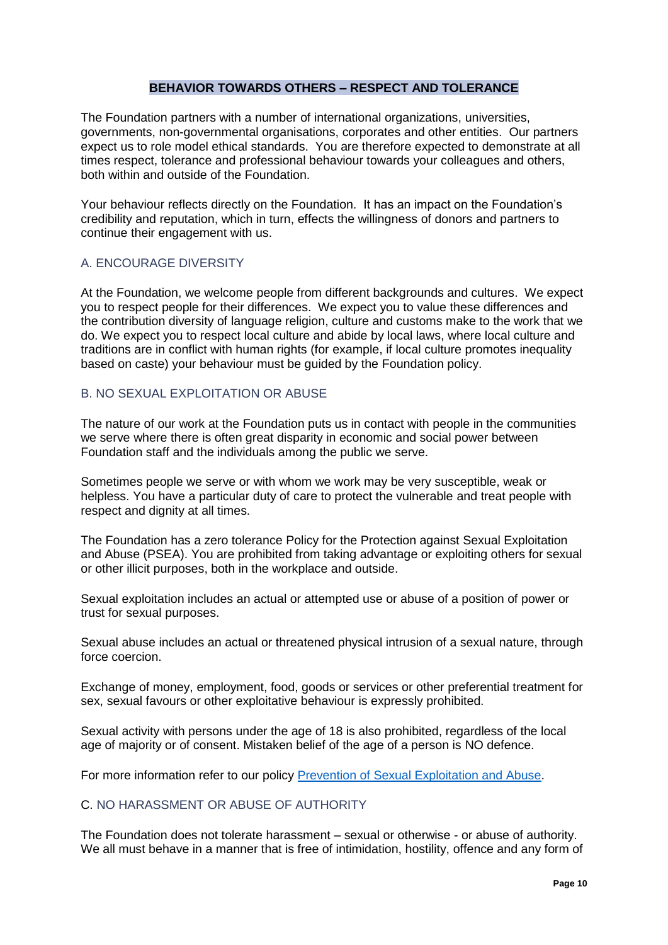#### **BEHAVIOR TOWARDS OTHERS – RESPECT AND TOLERANCE**

The Foundation partners with a number of international organizations, universities, governments, non-governmental organisations, corporates and other entities. Our partners expect us to role model ethical standards. You are therefore expected to demonstrate at all times respect, tolerance and professional behaviour towards your colleagues and others, both within and outside of the Foundation.

Your behaviour reflects directly on the Foundation. It has an impact on the Foundation's credibility and reputation, which in turn, effects the willingness of donors and partners to continue their engagement with us.

## A. ENCOURAGE DIVERSITY

At the Foundation, we welcome people from different backgrounds and cultures. We expect you to respect people for their differences. We expect you to value these differences and the contribution diversity of language religion, culture and customs make to the work that we do. We expect you to respect local culture and abide by local laws, where local culture and traditions are in conflict with human rights (for example, if local culture promotes inequality based on caste) your behaviour must be guided by the Foundation policy.

#### B. NO SEXUAL EXPLOITATION OR ABUSE

The nature of our work at the Foundation puts us in contact with people in the communities we serve where there is often great disparity in economic and social power between Foundation staff and the individuals among the public we serve.

Sometimes people we serve or with whom we work may be very susceptible, weak or helpless. You have a particular duty of care to protect the vulnerable and treat people with respect and dignity at all times.

The Foundation has a zero tolerance Policy for the Protection against Sexual Exploitation and Abuse (PSEA). You are prohibited from taking advantage or exploiting others for sexual or other illicit purposes, both in the workplace and outside.

Sexual exploitation includes an actual or attempted use or abuse of a position of power or trust for sexual purposes.

Sexual abuse includes an actual or threatened physical intrusion of a sexual nature, through force coercion.

Exchange of money, employment, food, goods or services or other preferential treatment for sex, sexual favours or other exploitative behaviour is expressly prohibited.

Sexual activity with persons under the age of 18 is also prohibited, regardless of the local age of majority or of consent. Mistaken belief of the age of a person is NO defence.

For more information refer to our policy [Prevention of Sexual Exploitation and Abuse.](http://thepromisefoundation.org/files/documents/e306431c-4b89-4566-a17e-bd494104bfab.pdf)

#### C. NO HARASSMENT OR ABUSE OF AUTHORITY

The Foundation does not tolerate harassment – sexual or otherwise - or abuse of authority. We all must behave in a manner that is free of intimidation, hostility, offence and any form of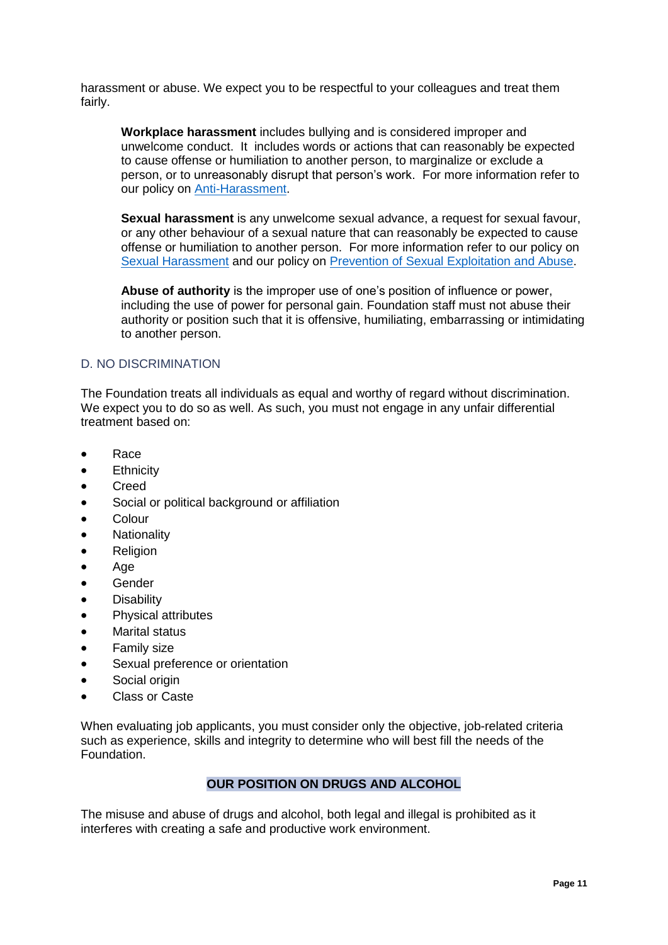harassment or abuse. We expect you to be respectful to your colleagues and treat them fairly.

**Workplace harassment** includes bullying and is considered improper and unwelcome conduct. It includes words or actions that can reasonably be expected to cause offense or humiliation to another person, to marginalize or exclude a person, or to unreasonably disrupt that person's work. For more information refer to our policy on [Anti-Harassment.](http://thepromisefoundation.org/files/documents/bc7022e8-371f-417b-914b-cfd18b83b4bc.pdf)

**Sexual harassment** is any unwelcome sexual advance, a request for sexual favour, or any other behaviour of a sexual nature that can reasonably be expected to cause offense or humiliation to another person. For more information refer to our policy on [Sexual Harassment](http://thepromisefoundation.org/files/documents/fda69915-e069-4450-813d-4831609fa0bc.pdf) and our policy on [Prevention of Sexual Exploitation and Abuse.](http://thepromisefoundation.org/files/documents/e306431c-4b89-4566-a17e-bd494104bfab.pdf)

**Abuse of authority** is the improper use of one's position of influence or power, including the use of power for personal gain. Foundation staff must not abuse their authority or position such that it is offensive, humiliating, embarrassing or intimidating to another person.

#### D. NO DISCRIMINATION

The Foundation treats all individuals as equal and worthy of regard without discrimination. We expect you to do so as well. As such, you must not engage in any unfair differential treatment based on:

- Race
- **Ethnicity**
- Creed
- Social or political background or affiliation
- Colour
- **Nationality**
- Religion
- Age
- Gender
- **Disability**
- Physical attributes
- Marital status
- Family size
- Sexual preference or orientation
- Social origin
- Class or Caste

When evaluating job applicants, you must consider only the objective, job-related criteria such as experience, skills and integrity to determine who will best fill the needs of the Foundation.

## **OUR POSITION ON DRUGS AND ALCOHOL**

The misuse and abuse of drugs and alcohol, both legal and illegal is prohibited as it interferes with creating a safe and productive work environment.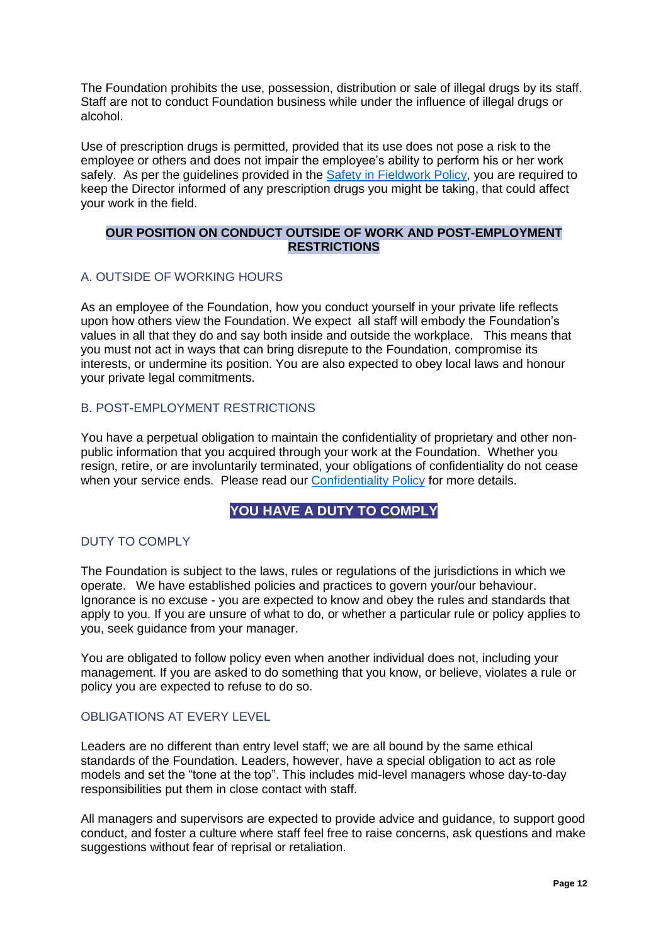The Foundation prohibits the use, possession, distribution or sale of illegal drugs by its staff. Staff are not to conduct Foundation business while under the influence of illegal drugs or alcohol.

Use of prescription drugs is permitted, provided that its use does not pose a risk to the employee or others and does not impair the employee's ability to perform his or her work safely. As per the quidelines provided in the [Safety in Fieldwork Policy,](http://thepromisefoundation.org/files/documents/035c7826-6e0d-4167-a716-a256f6a91395.pdf) you are required to keep the Director informed of any prescription drugs you might be taking, that could affect your work in the field.

## **OUR POSITION ON CONDUCT OUTSIDE OF WORK AND POST-EMPLOYMENT RESTRICTIONS**

## A. OUTSIDE OF WORKING HOURS

As an employee of the Foundation, how you conduct yourself in your private life reflects upon how others view the Foundation. We expect all staff will embody the Foundation's values in all that they do and say both inside and outside the workplace. This means that you must not act in ways that can bring disrepute to the Foundation, compromise its interests, or undermine its position. You are also expected to obey local laws and honour your private legal commitments.

# B. POST-EMPLOYMENT RESTRICTIONS

You have a perpetual obligation to maintain the confidentiality of proprietary and other nonpublic information that you acquired through your work at the Foundation. Whether you resign, retire, or are involuntarily terminated, your obligations of confidentiality do not cease when your service ends. Please read our [Confidentiality Policy](http://thepromisefoundation.org/files/documents/fb4ad1b3-8567-40c3-a4a5-e6f0612db268.pdf) for more details.

# **YOU HAVE A DUTY TO COMPLY**

# DUTY TO COMPLY

The Foundation is subject to the laws, rules or regulations of the jurisdictions in which we operate. We have established policies and practices to govern your/our behaviour. Ignorance is no excuse - you are expected to know and obey the rules and standards that apply to you. If you are unsure of what to do, or whether a particular rule or policy applies to you, seek guidance from your manager.

You are obligated to follow policy even when another individual does not, including your management. If you are asked to do something that you know, or believe, violates a rule or policy you are expected to refuse to do so.

## OBLIGATIONS AT EVERY LEVEL

Leaders are no different than entry level staff; we are all bound by the same ethical standards of the Foundation. Leaders, however, have a special obligation to act as role models and set the "tone at the top". This includes mid-level managers whose day-to-day responsibilities put them in close contact with staff.

All managers and supervisors are expected to provide advice and guidance, to support good conduct, and foster a culture where staff feel free to raise concerns, ask questions and make suggestions without fear of reprisal or retaliation.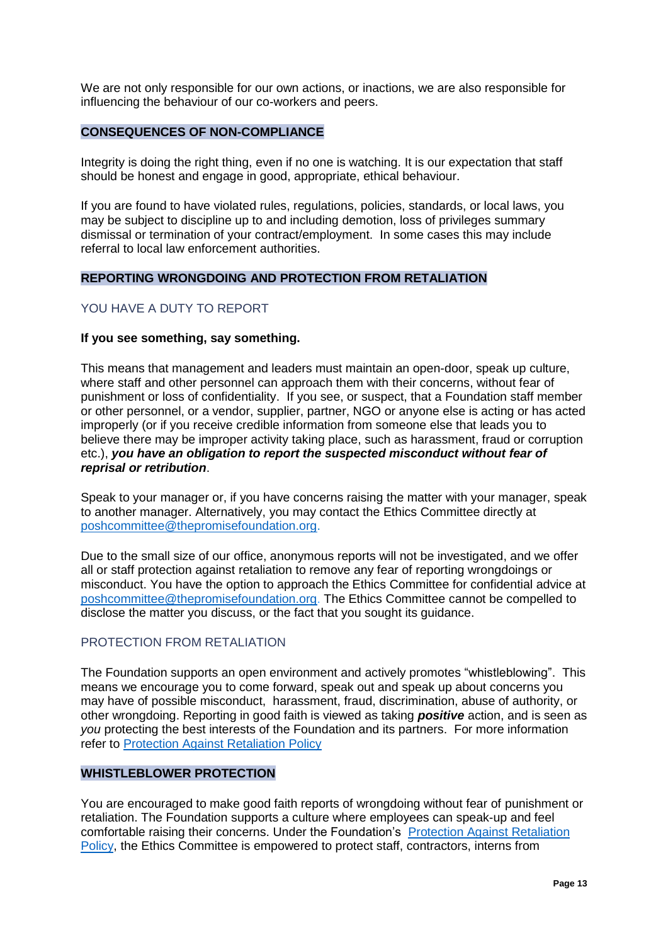We are not only responsible for our own actions, or inactions, we are also responsible for influencing the behaviour of our co-workers and peers.

# **CONSEQUENCES OF NON-COMPLIANCE**

Integrity is doing the right thing, even if no one is watching. It is our expectation that staff should be honest and engage in good, appropriate, ethical behaviour.

If you are found to have violated rules, regulations, policies, standards, or local laws, you may be subject to discipline up to and including demotion, loss of privileges summary dismissal or termination of your contract/employment. In some cases this may include referral to local law enforcement authorities.

#### **REPORTING WRONGDOING AND PROTECTION FROM RETALIATION**

## YOU HAVE A DUTY TO REPORT

#### **If you see something, say something.**

This means that management and leaders must maintain an open-door, speak up culture, where staff and other personnel can approach them with their concerns, without fear of punishment or loss of confidentiality. If you see, or suspect, that a Foundation staff member or other personnel, or a vendor, supplier, partner, NGO or anyone else is acting or has acted improperly (or if you receive credible information from someone else that leads you to believe there may be improper activity taking place, such as harassment, fraud or corruption etc.), *you have an obligation to report the suspected misconduct without fear of reprisal or retribution*.

Speak to your manager or, if you have concerns raising the matter with your manager, speak to another manager. Alternatively, you may contact the Ethics Committee directly at [poshcommittee@thepromisefoundation.org.](mailto:poshcommittee@thepromisefoundation.org)

Due to the small size of our office, anonymous reports will not be investigated, and we offer all or staff protection against retaliation to remove any fear of reporting wrongdoings or misconduct. You have the option to approach the Ethics Committee for confidential advice at [poshcommittee@thepromisefoundation.org.](mailto:poshcommittee@thepromisefoundation.org) The Ethics Committee cannot be compelled to disclose the matter you discuss, or the fact that you sought its guidance.

#### PROTECTION FROM RETALIATION

The Foundation supports an open environment and actively promotes "whistleblowing". This means we encourage you to come forward, speak out and speak up about concerns you may have of possible misconduct, harassment, fraud, discrimination, abuse of authority, or other wrongdoing. Reporting in good faith is viewed as taking *positive* action, and is seen as *you* protecting the best interests of the Foundation and its partners. For more information refer to [Protection Against Retaliation Policy](http://thepromisefoundation.org/files/documents/784133c6-8da8-46b3-a85f-b840644a9d93.pdf)

#### **WHISTLEBLOWER PROTECTION**

You are encouraged to make good faith reports of wrongdoing without fear of punishment or retaliation. The Foundation supports a culture where employees can speak-up and feel comfortable raising their concerns. Under the Foundation's [Protection Against Retaliation](http://thepromisefoundation.org/files/documents/784133c6-8da8-46b3-a85f-b840644a9d93.pdf)  [Policy,](http://thepromisefoundation.org/files/documents/784133c6-8da8-46b3-a85f-b840644a9d93.pdf) the Ethics Committee is empowered to protect staff, contractors, interns from